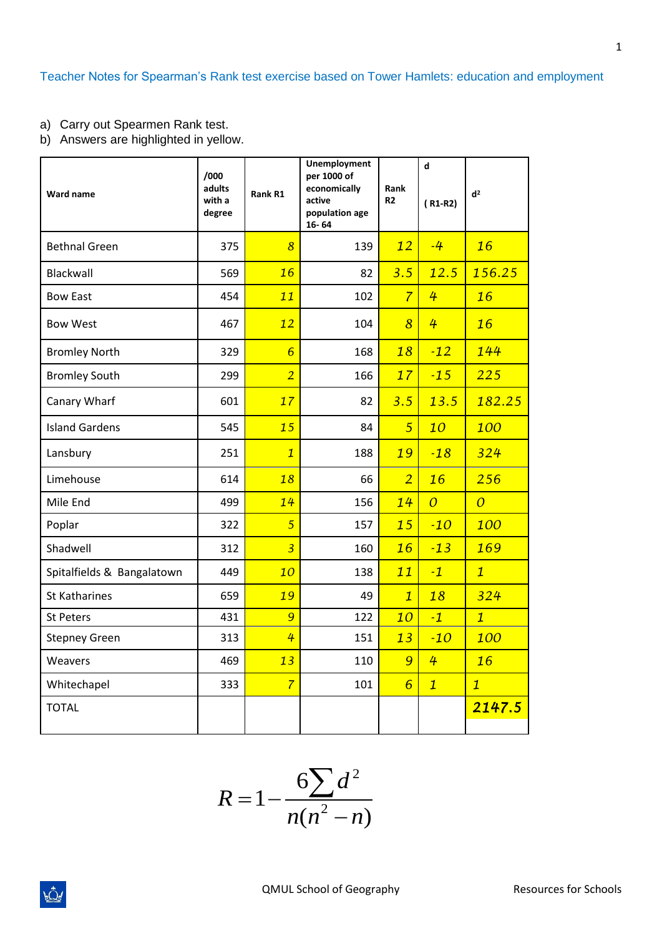Teacher Notes for Spearman's Rank test exercise based on Tower Hamlets: education and employment

- a) Carry out Spearmen Rank test.
- b) Answers are highlighted in yellow.

| Ward name                  | /000<br>adults<br>with a<br>degree | Rank R1         | <b>Unemployment</b><br>per 1000 of<br>economically<br>active<br>population age<br>$16 - 64$ | Rank<br>R <sub>2</sub> | d<br>$(R1-R2)$ | d <sup>2</sup> |
|----------------------------|------------------------------------|-----------------|---------------------------------------------------------------------------------------------|------------------------|----------------|----------------|
| <b>Bethnal Green</b>       | 375                                | $\overline{8}$  | 139                                                                                         | 12                     | $-4$           | 16             |
| Blackwall                  | 569                                | 16              | 82                                                                                          | 3.5                    | 12.5           | 156.25         |
| <b>Bow East</b>            | 454                                | 11              | 102                                                                                         | $\overline{7}$         | 4              | 16             |
| <b>Bow West</b>            | 467                                | 12              | 104                                                                                         | $\overline{8}$         | 4              | 16             |
| <b>Bromley North</b>       | 329                                | $6\overline{6}$ | 168                                                                                         | 18                     | $-12$          | 144            |
| <b>Bromley South</b>       | 299                                | $\overline{2}$  | 166                                                                                         | 17                     | $-15$          | 225            |
| Canary Wharf               | 601                                | 17              | 82                                                                                          | 3.5                    | 13.5           | 182.25         |
| <b>Island Gardens</b>      | 545                                | 15              | 84                                                                                          | 5                      | 10             | 100            |
| Lansbury                   | 251                                | $\mathbf{1}$    | 188                                                                                         | 19                     | $-18$          | 324            |
| Limehouse                  | 614                                | 18              | 66                                                                                          | $\overline{2}$         | 16             | 256            |
| Mile End                   | 499                                | 14              | 156                                                                                         | 14                     | $\overline{0}$ | $\overline{0}$ |
| Poplar                     | 322                                | $\overline{5}$  | 157                                                                                         | 15                     | $-10$          | 100            |
| Shadwell                   | 312                                | $\overline{3}$  | 160                                                                                         | 16                     | $-13$          | 169            |
| Spitalfields & Bangalatown | 449                                | 10              | 138                                                                                         | 11                     | $-1$           | $\mathbf{1}$   |
| <b>St Katharines</b>       | 659                                | 19              | 49                                                                                          | $\mathbf{1}$           | 18             | 324            |
| <b>St Peters</b>           | 431                                | 9               | 122                                                                                         | 10                     | $-1$           | $\mathbf{1}$   |
| <b>Stepney Green</b>       | 313                                | 4               | 151                                                                                         | 13                     | $-10$          | 100            |
| Weavers                    | 469                                | 13              | 110                                                                                         | 9                      | 4              | 16             |
| Whitechapel                | 333                                | $\overline{7}$  | 101                                                                                         | $6\overline{6}$        | $\mathbf{1}$   | $\mathbf{1}$   |
| <b>TOTAL</b>               |                                    |                 |                                                                                             |                        |                | 2147.5         |

$$
R = 1 - \frac{6\sum d^2}{n(n^2 - n)}
$$